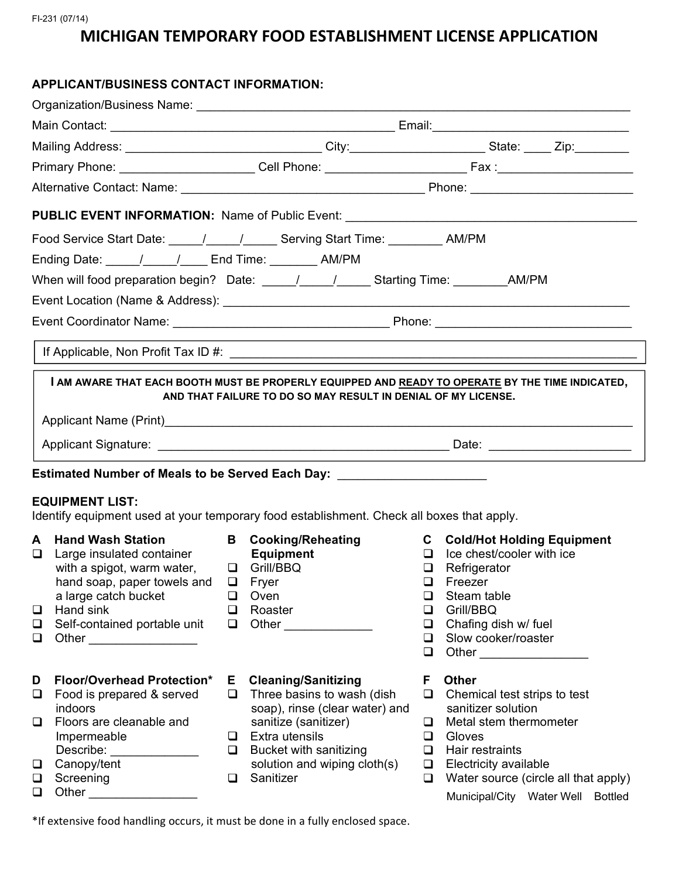| APPLICANT/BUSINESS CONTACT INFORMATION:<br>Mailing Address: _________________________________City:________________________State: _____ Zip:_________<br>Primary Phone: Cell Phone: Cell Phone: Fax: Fax:<br>PUBLIC EVENT INFORMATION: Name of Public Event: ________________________________<br>Food Service Start Date: 1 1 1 Serving Start Time: AM/PM<br>Ending Date: 1 1 1 End Time: AM/PM<br>When will food preparation begin? Date: _____/_____/______Starting Time: _________AM/PM<br>I AM AWARE THAT EACH BOOTH MUST BE PROPERLY EQUIPPED AND READY TO OPERATE BY THE TIME INDICATED,<br>AND THAT FAILURE TO DO SO MAY RESULT IN DENIAL OF MY LICENSE.<br>Estimated Number of Meals to be Served Each Day: _________________________   |  |
|------------------------------------------------------------------------------------------------------------------------------------------------------------------------------------------------------------------------------------------------------------------------------------------------------------------------------------------------------------------------------------------------------------------------------------------------------------------------------------------------------------------------------------------------------------------------------------------------------------------------------------------------------------------------------------------------------------------------------------------------|--|
|                                                                                                                                                                                                                                                                                                                                                                                                                                                                                                                                                                                                                                                                                                                                                |  |
|                                                                                                                                                                                                                                                                                                                                                                                                                                                                                                                                                                                                                                                                                                                                                |  |
|                                                                                                                                                                                                                                                                                                                                                                                                                                                                                                                                                                                                                                                                                                                                                |  |
|                                                                                                                                                                                                                                                                                                                                                                                                                                                                                                                                                                                                                                                                                                                                                |  |
|                                                                                                                                                                                                                                                                                                                                                                                                                                                                                                                                                                                                                                                                                                                                                |  |
|                                                                                                                                                                                                                                                                                                                                                                                                                                                                                                                                                                                                                                                                                                                                                |  |
|                                                                                                                                                                                                                                                                                                                                                                                                                                                                                                                                                                                                                                                                                                                                                |  |
|                                                                                                                                                                                                                                                                                                                                                                                                                                                                                                                                                                                                                                                                                                                                                |  |
|                                                                                                                                                                                                                                                                                                                                                                                                                                                                                                                                                                                                                                                                                                                                                |  |
|                                                                                                                                                                                                                                                                                                                                                                                                                                                                                                                                                                                                                                                                                                                                                |  |
|                                                                                                                                                                                                                                                                                                                                                                                                                                                                                                                                                                                                                                                                                                                                                |  |
|                                                                                                                                                                                                                                                                                                                                                                                                                                                                                                                                                                                                                                                                                                                                                |  |
|                                                                                                                                                                                                                                                                                                                                                                                                                                                                                                                                                                                                                                                                                                                                                |  |
|                                                                                                                                                                                                                                                                                                                                                                                                                                                                                                                                                                                                                                                                                                                                                |  |
|                                                                                                                                                                                                                                                                                                                                                                                                                                                                                                                                                                                                                                                                                                                                                |  |
|                                                                                                                                                                                                                                                                                                                                                                                                                                                                                                                                                                                                                                                                                                                                                |  |
| <b>EQUIPMENT LIST:</b><br>Identify equipment used at your temporary food establishment. Check all boxes that apply.                                                                                                                                                                                                                                                                                                                                                                                                                                                                                                                                                                                                                            |  |
| <b>A</b> Hand Wash Station<br><b>B</b> Cooking/Reheating<br><b>C</b> Cold/Hot Holding Equipment<br>Ice chest/cooler with ice<br>Large insulated container<br>$\Box$<br>Equipment<br>$\Box$<br>with a spigot, warm water,<br><b>Q</b> Grill/BBQ<br>Refrigerator<br>$\Box$<br>hand soap, paper towels and $\Box$ Fryer<br>$\Box$<br>Freezer<br>a large catch bucket<br>$\Box$ Oven<br>$\Box$<br>Steam table<br>Hand sink<br>Grill/BBQ<br>$\Box$ Roaster<br>$\Box$<br>$\Box$<br>Chafing dish w/ fuel<br>Self-contained portable unit<br><b>D</b> Other ____________<br>$\Box$<br>$\Box$<br>Slow cooker/roaster<br>$\Box$<br>$\Box$<br>Other ________________<br>$\Box$<br>Other _________________                                                 |  |
| <b>Floor/Overhead Protection*</b><br><b>E</b> Cleaning/Sanitizing<br>F.<br><b>Other</b><br>D<br>Food is prepared & served<br>$\Box$ Three basins to wash (dish<br>$\Box$ Chemical test strips to test<br>❏<br>soap), rinse (clear water) and<br>sanitizer solution<br>indoors<br>Floors are cleanable and<br>sanitize (sanitizer)<br>$\Box$ Metal stem thermometer<br>$\Box$<br>Extra utensils<br>Impermeable<br>$\Box$<br>Gloves<br>$\Box$<br>Bucket with sanitizing<br>Describe:<br>$\Box$<br>$\Box$ Hair restraints<br>solution and wiping cloth(s)<br>$\Box$<br>Canopy/tent<br><b>Electricity available</b><br>Water source (circle all that apply)<br>Screening<br>Sanitizer<br>❏<br>Other<br>$\Box$<br>Municipal/City Water Well Bottled |  |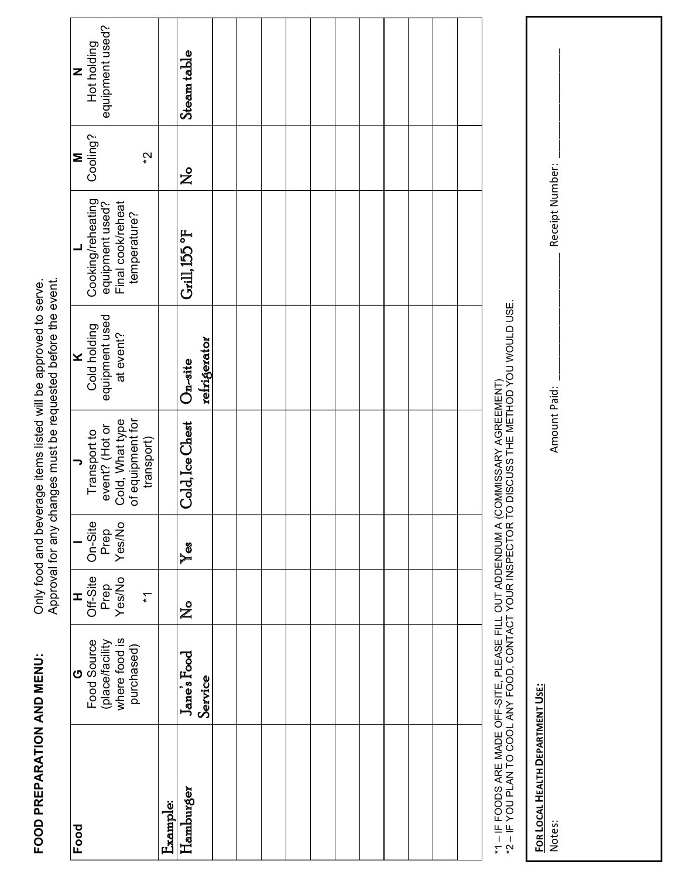| equipment used?<br>Hot holding<br>Steam table<br>Z<br>Cooling?<br>$\boldsymbol{\mathcal{S}}$<br>Σ<br>$\mathsf{z}^{\mathsf{o}}$<br>Cooking/reheating<br>equipment used?<br>Final cook/reheat<br>temperature?<br>$Grill$ , 155 $\overline{P}$<br>┙<br>*1 – IF FOODS ARE MADE OFF-SITE, PLEASE FILL OUT ADDENDUM A (COMMISSARY AGREEMENT)<br>*2 – IF YOU PLAN TO COOL ANY FOOD, CONTACT YOUR INSPECTOR TO DISCUSS THE METHOD YOU WOULD USE.<br>equipment used<br>Cold holding<br>event?<br>refrigerator<br>×<br>$On-site$<br>ಸ<br>Transport to<br>event? (Hot or<br>Cold, What type<br>of equipment for<br>Cold, Ice Chest<br>transport)<br>∍<br>On-Site<br>Prep<br>Yes/No<br>Ξ<br>$\overline{Y}$ es<br>Off-Site<br>Yes/No<br>Prep<br>$\overline{\cdot}$<br>I<br>$\mathsf{z}^{\circ}$<br>where food is<br>Food Source<br>(place/facility<br>purchased)<br>Jane's Food<br>ပ<br>Service<br>Hamburger<br>Example:<br>Food |
|---------------------------------------------------------------------------------------------------------------------------------------------------------------------------------------------------------------------------------------------------------------------------------------------------------------------------------------------------------------------------------------------------------------------------------------------------------------------------------------------------------------------------------------------------------------------------------------------------------------------------------------------------------------------------------------------------------------------------------------------------------------------------------------------------------------------------------------------------------------------------------------------------------------------|
|                                                                                                                                                                                                                                                                                                                                                                                                                                                                                                                                                                                                                                                                                                                                                                                                                                                                                                                     |
|                                                                                                                                                                                                                                                                                                                                                                                                                                                                                                                                                                                                                                                                                                                                                                                                                                                                                                                     |
|                                                                                                                                                                                                                                                                                                                                                                                                                                                                                                                                                                                                                                                                                                                                                                                                                                                                                                                     |
|                                                                                                                                                                                                                                                                                                                                                                                                                                                                                                                                                                                                                                                                                                                                                                                                                                                                                                                     |
|                                                                                                                                                                                                                                                                                                                                                                                                                                                                                                                                                                                                                                                                                                                                                                                                                                                                                                                     |
|                                                                                                                                                                                                                                                                                                                                                                                                                                                                                                                                                                                                                                                                                                                                                                                                                                                                                                                     |
|                                                                                                                                                                                                                                                                                                                                                                                                                                                                                                                                                                                                                                                                                                                                                                                                                                                                                                                     |
|                                                                                                                                                                                                                                                                                                                                                                                                                                                                                                                                                                                                                                                                                                                                                                                                                                                                                                                     |
|                                                                                                                                                                                                                                                                                                                                                                                                                                                                                                                                                                                                                                                                                                                                                                                                                                                                                                                     |
|                                                                                                                                                                                                                                                                                                                                                                                                                                                                                                                                                                                                                                                                                                                                                                                                                                                                                                                     |
|                                                                                                                                                                                                                                                                                                                                                                                                                                                                                                                                                                                                                                                                                                                                                                                                                                                                                                                     |
|                                                                                                                                                                                                                                                                                                                                                                                                                                                                                                                                                                                                                                                                                                                                                                                                                                                                                                                     |
| FOR LOCAL HEALTH DEPARTMENT USE:                                                                                                                                                                                                                                                                                                                                                                                                                                                                                                                                                                                                                                                                                                                                                                                                                                                                                    |
| Receipt Number:<br>Amount Paid:<br>Notes:                                                                                                                                                                                                                                                                                                                                                                                                                                                                                                                                                                                                                                                                                                                                                                                                                                                                           |
|                                                                                                                                                                                                                                                                                                                                                                                                                                                                                                                                                                                                                                                                                                                                                                                                                                                                                                                     |
|                                                                                                                                                                                                                                                                                                                                                                                                                                                                                                                                                                                                                                                                                                                                                                                                                                                                                                                     |